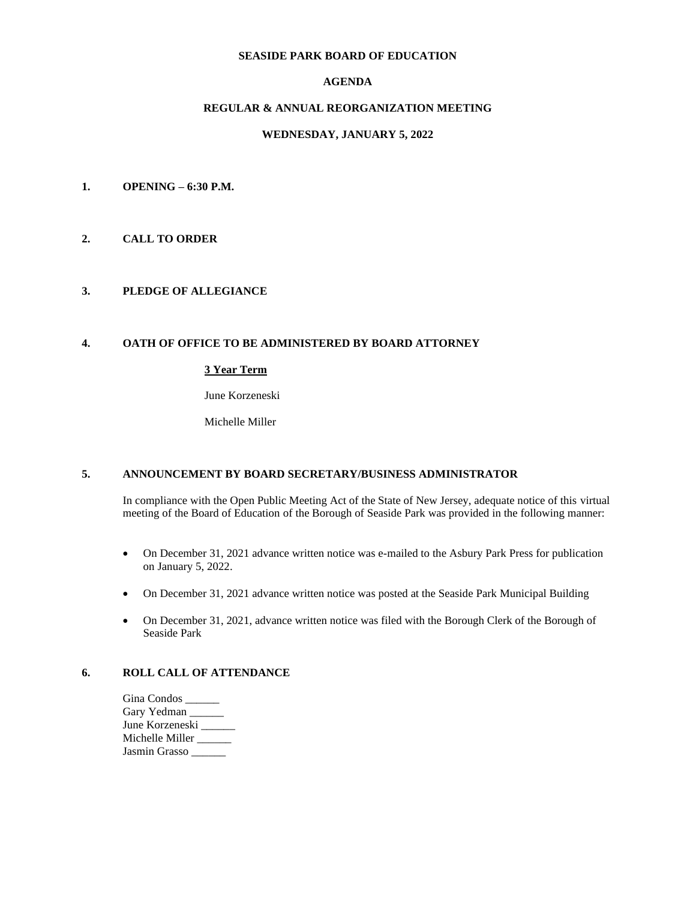# **SEASIDE PARK BOARD OF EDUCATION**

# **AGENDA**

# **REGULAR & ANNUAL REORGANIZATION MEETING**

# **WEDNESDAY, JANUARY 5, 2022**

- **1. OPENING – 6:30 P.M.**
- **2. CALL TO ORDER**

## **3. PLEDGE OF ALLEGIANCE**

#### **4. OATH OF OFFICE TO BE ADMINISTERED BY BOARD ATTORNEY**

# **3 Year Term**

June Korzeneski

Michelle Miller

## **5. ANNOUNCEMENT BY BOARD SECRETARY/BUSINESS ADMINISTRATOR**

In compliance with the Open Public Meeting Act of the State of New Jersey, adequate notice of this virtual meeting of the Board of Education of the Borough of Seaside Park was provided in the following manner:

- On December 31, 2021 advance written notice was e-mailed to the Asbury Park Press for publication on January 5, 2022.
- On December 31, 2021 advance written notice was posted at the Seaside Park Municipal Building
- On December 31, 2021, advance written notice was filed with the Borough Clerk of the Borough of Seaside Park

# **6. ROLL CALL OF ATTENDANCE**

| Gina Condos _   |  |
|-----------------|--|
| Gary Yedman     |  |
| June Korzeneski |  |
| Michelle Miller |  |
| Jasmin Grasso   |  |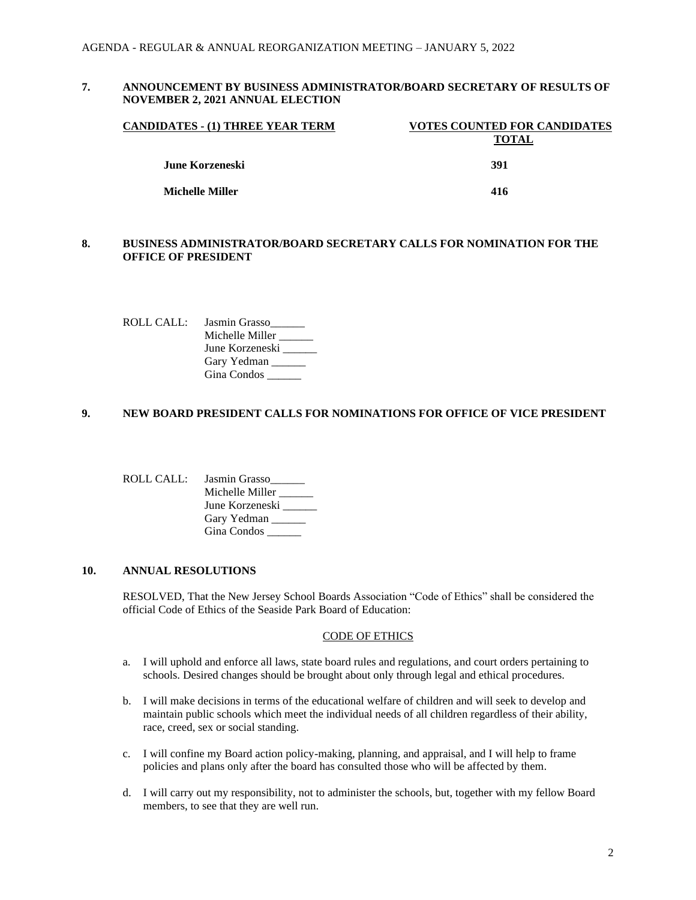# **7. ANNOUNCEMENT BY BUSINESS ADMINISTRATOR/BOARD SECRETARY OF RESULTS OF NOVEMBER 2, 2021 ANNUAL ELECTION**

| CANDIDATES - (1) THREE YEAR TERM | <b>VOTES COUNTED FOR CANDIDATES</b> |
|----------------------------------|-------------------------------------|
|                                  | TOTAL                               |
| June Korzeneski                  | 391                                 |
| Michelle Miller                  | 416                                 |

# **8. BUSINESS ADMINISTRATOR/BOARD SECRETARY CALLS FOR NOMINATION FOR THE OFFICE OF PRESIDENT**

ROLL CALL: Jasmin Grasso Michelle Miller \_\_\_\_\_\_\_\_ June Korzeneski Gary Yedman Gina Condos \_\_\_\_\_\_

# **9. NEW BOARD PRESIDENT CALLS FOR NOMINATIONS FOR OFFICE OF VICE PRESIDENT**

ROLL CALL: Jasmin Grasso\_\_\_\_\_\_ Michelle Miller \_\_\_\_\_ June Korzeneski \_\_\_\_\_\_ Gary Yedman Gina Condos \_\_\_\_\_\_

#### **10. ANNUAL RESOLUTIONS**

RESOLVED, That the New Jersey School Boards Association "Code of Ethics" shall be considered the official Code of Ethics of the Seaside Park Board of Education:

#### CODE OF ETHICS

- a. I will uphold and enforce all laws, state board rules and regulations, and court orders pertaining to schools. Desired changes should be brought about only through legal and ethical procedures.
- b. I will make decisions in terms of the educational welfare of children and will seek to develop and maintain public schools which meet the individual needs of all children regardless of their ability, race, creed, sex or social standing.
- c. I will confine my Board action policy-making, planning, and appraisal, and I will help to frame policies and plans only after the board has consulted those who will be affected by them.
- d. I will carry out my responsibility, not to administer the schools, but, together with my fellow Board members, to see that they are well run.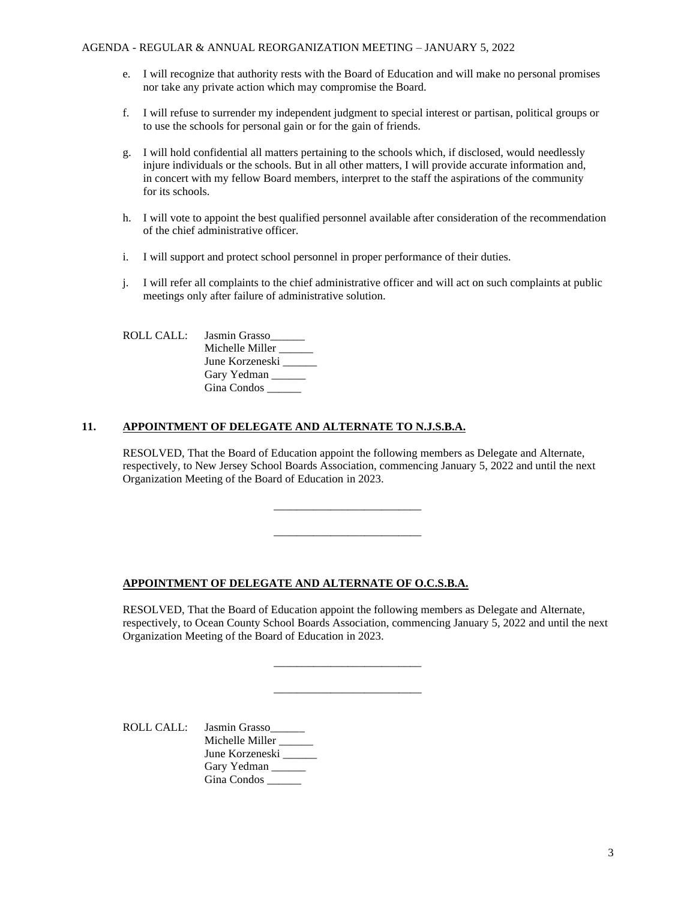- e. I will recognize that authority rests with the Board of Education and will make no personal promises nor take any private action which may compromise the Board.
- f. I will refuse to surrender my independent judgment to special interest or partisan, political groups or to use the schools for personal gain or for the gain of friends.
- g. I will hold confidential all matters pertaining to the schools which, if disclosed, would needlessly injure individuals or the schools. But in all other matters, I will provide accurate information and, in concert with my fellow Board members, interpret to the staff the aspirations of the community for its schools.
- h. I will vote to appoint the best qualified personnel available after consideration of the recommendation of the chief administrative officer.
- i. I will support and protect school personnel in proper performance of their duties.
- j. I will refer all complaints to the chief administrative officer and will act on such complaints at public meetings only after failure of administrative solution.

| ROLLCALL | Jasmin Grasso   |
|----------|-----------------|
|          | Michelle Miller |
|          | June Korzeneski |
|          | Gary Yedman     |
|          | Gina Condos     |

## **11. APPOINTMENT OF DELEGATE AND ALTERNATE TO N.J.S.B.A.**

RESOLVED, That the Board of Education appoint the following members as Delegate and Alternate, respectively, to New Jersey School Boards Association, commencing January 5, 2022 and until the next Organization Meeting of the Board of Education in 2023.

\_\_\_\_\_\_\_\_\_\_\_\_\_\_\_\_\_\_\_\_\_\_\_\_\_\_

\_\_\_\_\_\_\_\_\_\_\_\_\_\_\_\_\_\_\_\_\_\_\_\_\_\_

\_\_\_\_\_\_\_\_\_\_\_\_\_\_\_\_\_\_\_\_\_\_\_\_\_\_

\_\_\_\_\_\_\_\_\_\_\_\_\_\_\_\_\_\_\_\_\_\_\_\_\_\_

# **APPOINTMENT OF DELEGATE AND ALTERNATE OF O.C.S.B.A.**

RESOLVED, That the Board of Education appoint the following members as Delegate and Alternate, respectively, to Ocean County School Boards Association, commencing January 5, 2022 and until the next Organization Meeting of the Board of Education in 2023.

ROLL CALL: Jasmin Grasso\_\_\_\_\_\_ Michelle Miller \_\_\_\_\_\_ June Korzeneski \_\_\_\_\_\_ Gary Yedman Gina Condos \_\_\_\_\_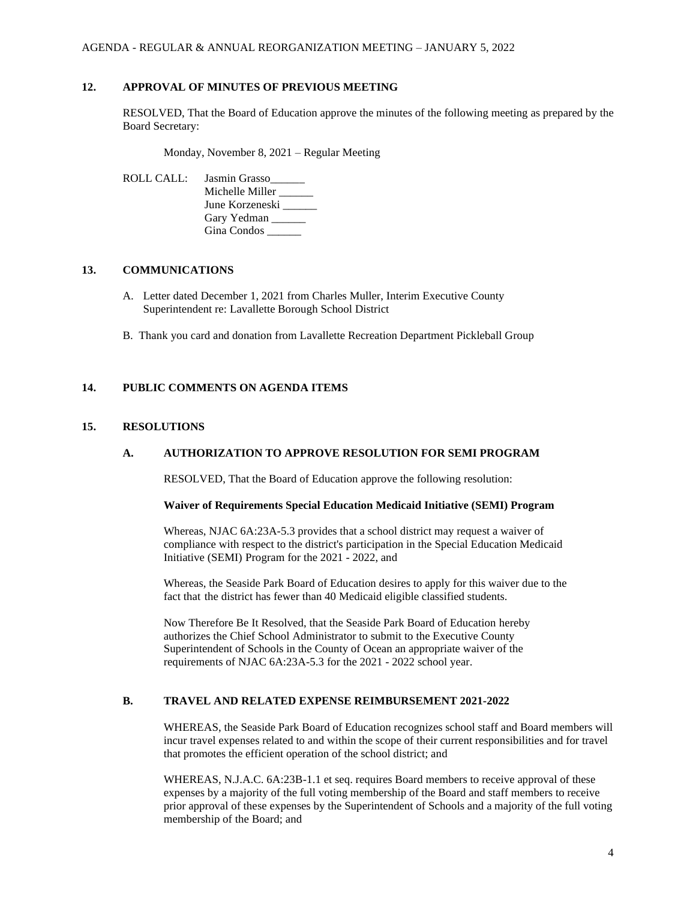#### **12. APPROVAL OF MINUTES OF PREVIOUS MEETING**

RESOLVED, That the Board of Education approve the minutes of the following meeting as prepared by the Board Secretary:

Monday, November 8, 2021 – Regular Meeting

ROLL CALL: Jasmin Grasso\_\_\_\_\_\_ Michelle Miller \_\_\_\_\_ June Korzeneski \_\_\_\_\_\_ Gary Yedman Gina Condos \_\_\_\_\_\_

## **13. COMMUNICATIONS**

- A. Letter dated December 1, 2021 from Charles Muller, Interim Executive County Superintendent re: Lavallette Borough School District
- B. Thank you card and donation from Lavallette Recreation Department Pickleball Group

## **14. PUBLIC COMMENTS ON AGENDA ITEMS**

#### **15. RESOLUTIONS**

### **A. AUTHORIZATION TO APPROVE RESOLUTION FOR SEMI PROGRAM**

RESOLVED, That the Board of Education approve the following resolution:

### **Waiver of Requirements Special Education Medicaid Initiative (SEMI) Program**

Whereas, NJAC 6A:23A-5.3 provides that a school district may request a waiver of compliance with respect to the district's participation in the Special Education Medicaid Initiative (SEMI) Program for the 2021 - 2022, and

Whereas, the Seaside Park Board of Education desires to apply for this waiver due to the fact that the district has fewer than 40 Medicaid eligible classified students.

Now Therefore Be It Resolved, that the Seaside Park Board of Education hereby authorizes the Chief School Administrator to submit to the Executive County Superintendent of Schools in the County of Ocean an appropriate waiver of the requirements of NJAC 6A:23A-5.3 for the 2021 - 2022 school year.

# **B. TRAVEL AND RELATED EXPENSE REIMBURSEMENT 2021-2022**

WHEREAS, the Seaside Park Board of Education recognizes school staff and Board members will incur travel expenses related to and within the scope of their current responsibilities and for travel that promotes the efficient operation of the school district; and

WHEREAS, N.J.A.C. 6A:23B-1.1 et seq. requires Board members to receive approval of these expenses by a majority of the full voting membership of the Board and staff members to receive prior approval of these expenses by the Superintendent of Schools and a majority of the full voting membership of the Board; and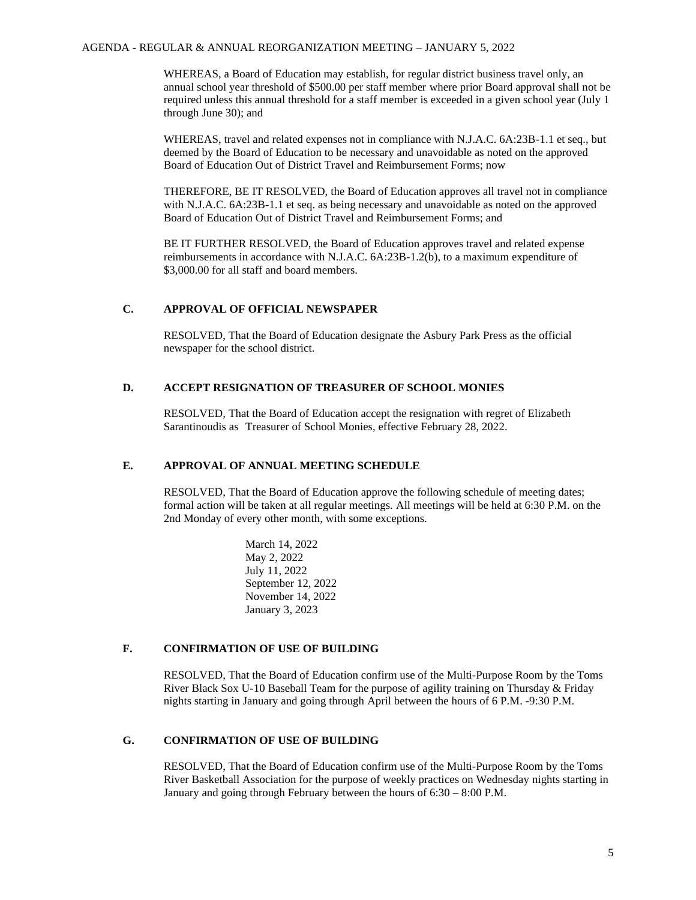#### AGENDA - REGULAR & ANNUAL REORGANIZATION MEETING – JANUARY 5, 2022

WHEREAS, a Board of Education may establish, for regular district business travel only, an annual school year threshold of \$500.00 per staff member where prior Board approval shall not be required unless this annual threshold for a staff member is exceeded in a given school year (July 1 through June 30); and

WHEREAS, travel and related expenses not in compliance with N.J.A.C. 6A:23B-1.1 et seq., but deemed by the Board of Education to be necessary and unavoidable as noted on the approved Board of Education Out of District Travel and Reimbursement Forms; now

THEREFORE, BE IT RESOLVED, the Board of Education approves all travel not in compliance with N.J.A.C. 6A:23B-1.1 et seq. as being necessary and unavoidable as noted on the approved Board of Education Out of District Travel and Reimbursement Forms; and

BE IT FURTHER RESOLVED, the Board of Education approves travel and related expense reimbursements in accordance with N.J.A.C. 6A:23B-1.2(b), to a maximum expenditure of \$3,000.00 for all staff and board members.

## **C. APPROVAL OF OFFICIAL NEWSPAPER**

RESOLVED, That the Board of Education designate the Asbury Park Press as the official newspaper for the school district.

# **D. ACCEPT RESIGNATION OF TREASURER OF SCHOOL MONIES**

RESOLVED, That the Board of Education accept the resignation with regret of Elizabeth Sarantinoudis as Treasurer of School Monies, effective February 28, 2022.

## **E. APPROVAL OF ANNUAL MEETING SCHEDULE**

RESOLVED, That the Board of Education approve the following schedule of meeting dates; formal action will be taken at all regular meetings. All meetings will be held at 6:30 P.M. on the 2nd Monday of every other month, with some exceptions.

> March 14, 2022 May 2, 2022 July 11, 2022 September 12, 2022 November 14, 2022 January 3, 2023

## **F. CONFIRMATION OF USE OF BUILDING**

RESOLVED, That the Board of Education confirm use of the Multi-Purpose Room by the Toms River Black Sox U-10 Baseball Team for the purpose of agility training on Thursday & Friday nights starting in January and going through April between the hours of 6 P.M. -9:30 P.M.

## **G. CONFIRMATION OF USE OF BUILDING**

RESOLVED, That the Board of Education confirm use of the Multi-Purpose Room by the Toms River Basketball Association for the purpose of weekly practices on Wednesday nights starting in January and going through February between the hours of 6:30 – 8:00 P.M.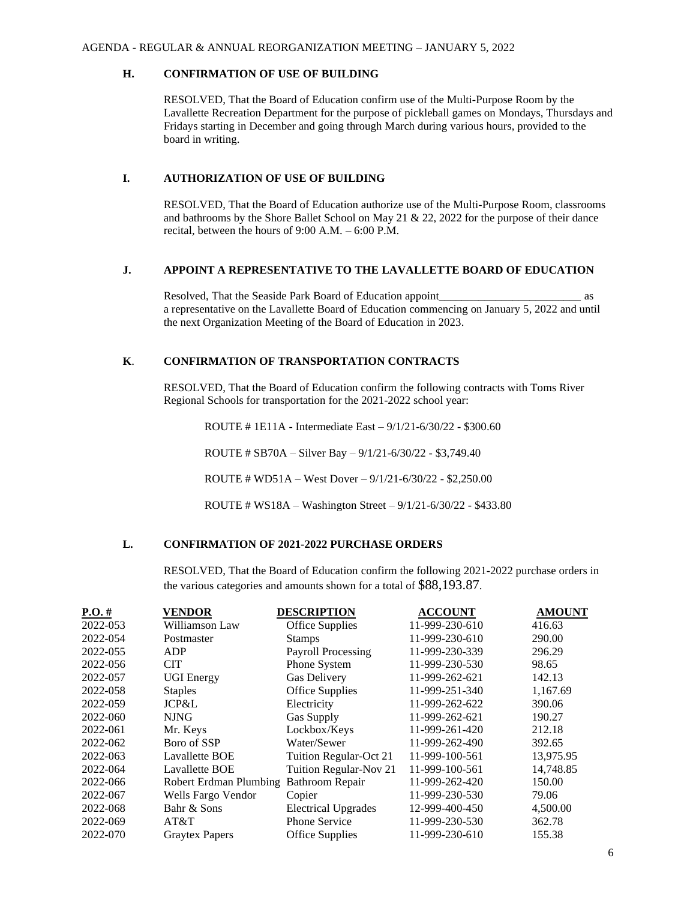#### **H. CONFIRMATION OF USE OF BUILDING**

RESOLVED, That the Board of Education confirm use of the Multi-Purpose Room by the Lavallette Recreation Department for the purpose of pickleball games on Mondays, Thursdays and Fridays starting in December and going through March during various hours, provided to the board in writing.

# **I. AUTHORIZATION OF USE OF BUILDING**

RESOLVED, That the Board of Education authorize use of the Multi-Purpose Room, classrooms and bathrooms by the Shore Ballet School on May 21 & 22, 2022 for the purpose of their dance recital, between the hours of 9:00 A.M. – 6:00 P.M.

# **J. APPOINT A REPRESENTATIVE TO THE LAVALLETTE BOARD OF EDUCATION**

Resolved, That the Seaside Park Board of Education appoint as a representative on the Lavallette Board of Education commencing on January 5, 2022 and until the next Organization Meeting of the Board of Education in 2023.

#### **K**. **CONFIRMATION OF TRANSPORTATION CONTRACTS**

RESOLVED, That the Board of Education confirm the following contracts with Toms River Regional Schools for transportation for the 2021-2022 school year:

ROUTE # 1E11A - Intermediate East – 9/1/21-6/30/22 - \$300.60

ROUTE # SB70A – Silver Bay – 9/1/21-6/30/22 - \$3,749.40

ROUTE # WD51A – West Dover – 9/1/21-6/30/22 - \$2,250.00

ROUTE # WS18A – Washington Street – 9/1/21-6/30/22 - \$433.80

# **L. CONFIRMATION OF 2021-2022 PURCHASE ORDERS**

RESOLVED, That the Board of Education confirm the following 2021-2022 purchase orders in the various categories and amounts shown for a total of \$88,193.87.

| $P.O. \#$ | <b>VENDOR</b>          | <b>DESCRIPTION</b>         | <b>ACCOUNT</b> | <b>AMOUNT</b> |
|-----------|------------------------|----------------------------|----------------|---------------|
| 2022-053  | Williamson Law         | <b>Office Supplies</b>     | 11-999-230-610 | 416.63        |
| 2022-054  | Postmaster             | <b>Stamps</b>              | 11-999-230-610 | 290.00        |
| 2022-055  | ADP                    | Payroll Processing         | 11-999-230-339 | 296.29        |
| 2022-056  | <b>CIT</b>             | Phone System               | 11-999-230-530 | 98.65         |
| 2022-057  | <b>UGI</b> Energy      | Gas Delivery               | 11-999-262-621 | 142.13        |
| 2022-058  | <b>Staples</b>         | <b>Office Supplies</b>     | 11-999-251-340 | 1,167.69      |
| 2022-059  | JCP&L                  | Electricity                | 11-999-262-622 | 390.06        |
| 2022-060  | <b>NJNG</b>            | <b>Gas Supply</b>          | 11-999-262-621 | 190.27        |
| 2022-061  | Mr. Keys               | Lockbox/Keys               | 11-999-261-420 | 212.18        |
| 2022-062  | Boro of SSP            | Water/Sewer                | 11-999-262-490 | 392.65        |
| 2022-063  | Lavallette BOE         | Tuition Regular-Oct 21     | 11-999-100-561 | 13,975.95     |
| 2022-064  | <b>Lavallette BOE</b>  | Tuition Regular-Nov 21     | 11-999-100-561 | 14,748.85     |
| 2022-066  | Robert Erdman Plumbing | Bathroom Repair            | 11-999-262-420 | 150.00        |
| 2022-067  | Wells Fargo Vendor     | Copier                     | 11-999-230-530 | 79.06         |
| 2022-068  | Bahr & Sons            | <b>Electrical Upgrades</b> | 12-999-400-450 | 4,500.00      |
| 2022-069  | AT&T                   | <b>Phone Service</b>       | 11-999-230-530 | 362.78        |
| 2022-070  | <b>Graytex Papers</b>  | <b>Office Supplies</b>     | 11-999-230-610 | 155.38        |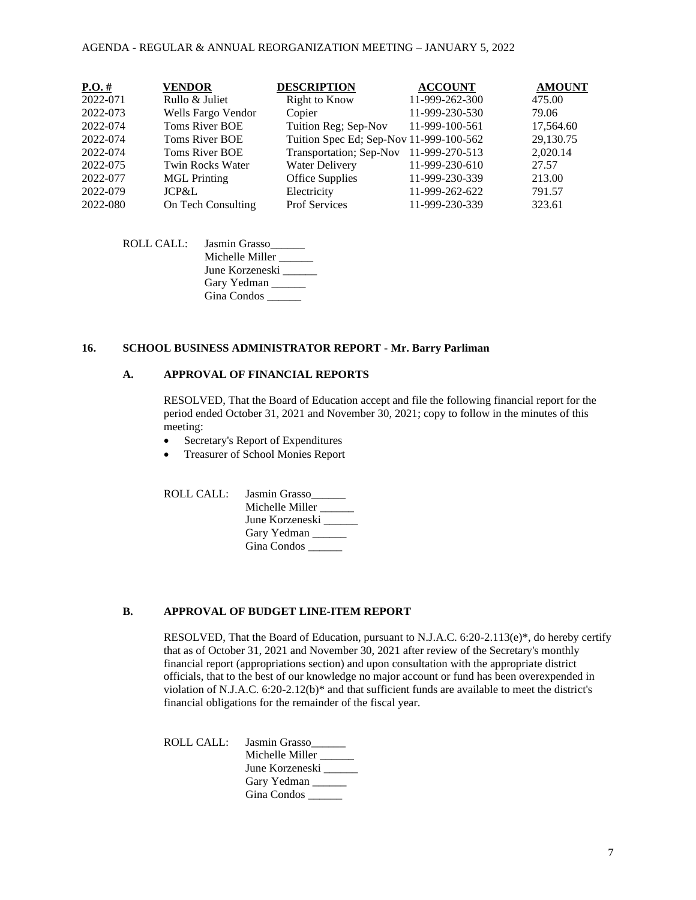#### AGENDA - REGULAR & ANNUAL REORGANIZATION MEETING – JANUARY 5, 2022

| $P.O.$ # | <b>VENDOR</b>         | <b>DESCRIPTION</b>                      | <b>ACCOUNT</b> | <b>AMOUNT</b> |
|----------|-----------------------|-----------------------------------------|----------------|---------------|
| 2022-071 | Rullo & Juliet        | <b>Right to Know</b>                    | 11-999-262-300 | 475.00        |
| 2022-073 | Wells Fargo Vendor    | Copier                                  | 11-999-230-530 | 79.06         |
| 2022-074 | <b>Toms River BOE</b> | Tuition Reg; Sep-Nov                    | 11-999-100-561 | 17,564.60     |
| 2022-074 | <b>Toms River BOE</b> | Tuition Spec Ed; Sep-Nov 11-999-100-562 |                | 29,130.75     |
| 2022-074 | Toms River BOE        | Transportation; Sep-Nov                 | 11-999-270-513 | 2,020.14      |
| 2022-075 | Twin Rocks Water      | <b>Water Delivery</b>                   | 11-999-230-610 | 27.57         |
| 2022-077 | <b>MGL</b> Printing   | <b>Office Supplies</b>                  | 11-999-230-339 | 213.00        |
| 2022-079 | JCP&L                 | Electricity                             | 11-999-262-622 | 791.57        |
| 2022-080 | On Tech Consulting    | Prof Services                           | 11-999-230-339 | 323.61        |

ROLL CALL: Jasmin Grasso\_\_\_\_\_\_ Michelle Miller \_\_\_\_\_\_ June Korzeneski Gary Yedman Gina Condos \_\_\_\_\_\_

#### **16. SCHOOL BUSINESS ADMINISTRATOR REPORT - Mr. Barry Parliman**

### **A. APPROVAL OF FINANCIAL REPORTS**

RESOLVED, That the Board of Education accept and file the following financial report for the period ended October 31, 2021 and November 30, 2021; copy to follow in the minutes of this meeting:

- Secretary's Report of Expenditures
- Treasurer of School Monies Report

ROLL CALL: Jasmin Grasso\_\_\_\_\_\_ Michelle Miller \_\_\_\_\_\_ June Korzeneski \_\_\_\_\_ Gary Yedman Gina Condos \_\_\_\_\_\_

#### **B. APPROVAL OF BUDGET LINE-ITEM REPORT**

RESOLVED, That the Board of Education, pursuant to N.J.A.C. 6:20-2.113(e)\*, do hereby certify that as of October 31, 2021 and November 30, 2021 after review of the Secretary's monthly financial report (appropriations section) and upon consultation with the appropriate district officials, that to the best of our knowledge no major account or fund has been overexpended in violation of N.J.A.C.  $6:20-2.12(b)*$  and that sufficient funds are available to meet the district's financial obligations for the remainder of the fiscal year.

ROLL CALL: Jasmin Grasso\_\_\_\_\_\_ Michelle Miller \_\_\_\_\_\_ June Korzeneski \_\_\_\_\_\_ Gary Yedman Gina Condos